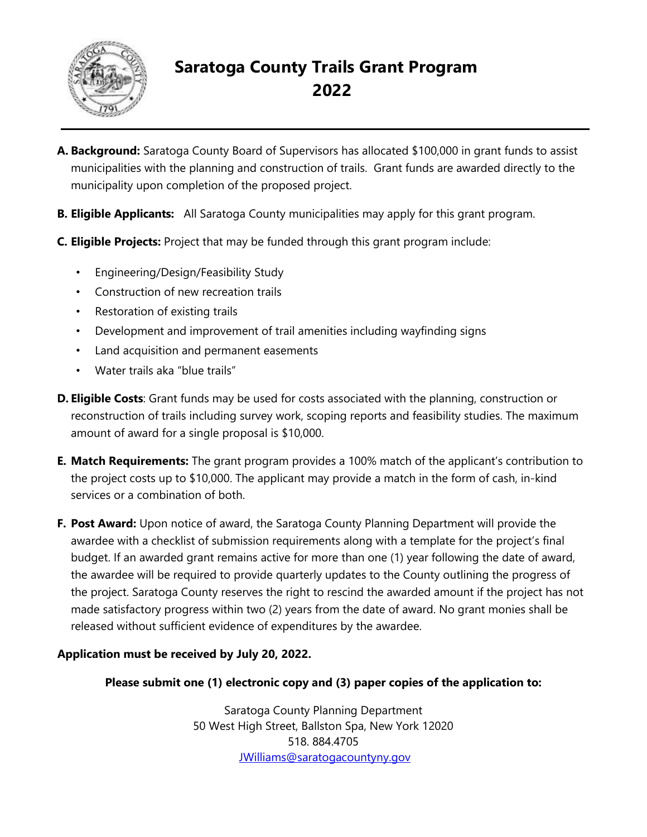

# **Saratoga County Trails Grant Program 2022**

- **A. Background:** Saratoga County Board of Supervisors has allocated \$100,000 in grant funds to assist municipalities with the planning and construction of trails. Grant funds are awarded directly to the municipality upon completion of the proposed project.
- **B. Eligible Applicants:** All Saratoga County municipalities may apply for this grant program.
- **C. Eligible Projects:** Project that may be funded through this grant program include:
	- Engineering/Design/Feasibility Study
	- Construction of new recreation trails
	- Restoration of existing trails
	- Development and improvement of trail amenities including wayfinding signs
	- Land acquisition and permanent easements
	- Water trails aka "blue trails"
- **D. Eligible Costs**: Grant funds may be used for costs associated with the planning, construction or reconstruction of trails including survey work, scoping reports and feasibility studies. The maximum amount of award for a single proposal is \$10,000.
- **E. Match Requirements:** The grant program provides a 100% match of the applicant's contribution to the project costs up to \$10,000. The applicant may provide a match in the form of cash, in-kind services or a combination of both.
- **F. Post Award:** Upon notice of award, the Saratoga County Planning Department will provide the awardee with a checklist of submission requirements along with a template for the project's final budget. If an awarded grant remains active for more than one (1) year following the date of award, the awardee will be required to provide quarterly updates to the County outlining the progress of the project. Saratoga County reserves the right to rescind the awarded amount if the project has not made satisfactory progress within two (2) years from the date of award. No grant monies shall be released without sufficient evidence of expenditures by the awardee.

### **Application must be received by July 20, 2022.**

### **Please submit one (1) electronic copy and (3) paper copies of the application to:**

Saratoga County Planning Department 50 West High Street, Ballston Spa, New York 12020 518. 884.4705 JWilliams@saratogacountyny.gov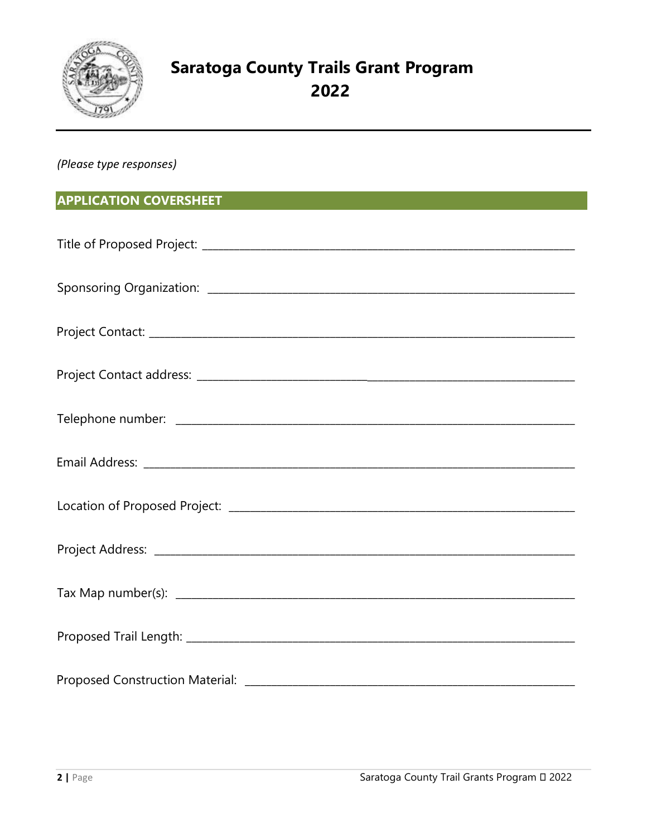

# **Saratoga County Trails Grant Program** 2022

(Please type responses)

## **APPLICATION COVERSHEET**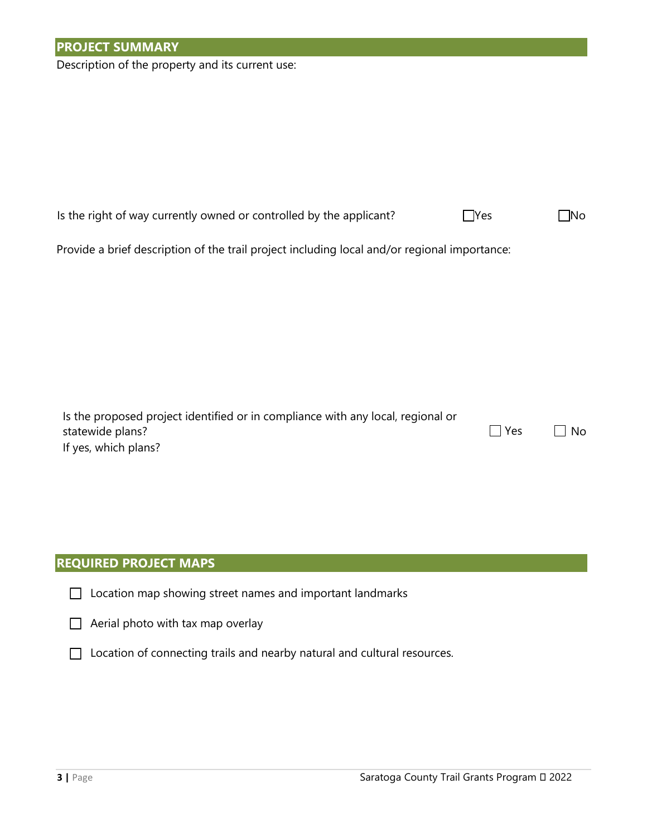Description of the property and its current use:

| Provide a brief description of the trail project including local and/or regional importance:                                |     |     |  |  |  |  |  |  |  |
|-----------------------------------------------------------------------------------------------------------------------------|-----|-----|--|--|--|--|--|--|--|
|                                                                                                                             |     |     |  |  |  |  |  |  |  |
|                                                                                                                             |     |     |  |  |  |  |  |  |  |
| Is the proposed project identified or in compliance with any local, regional or<br>statewide plans?<br>If yes, which plans? | Yes | No. |  |  |  |  |  |  |  |
|                                                                                                                             |     |     |  |  |  |  |  |  |  |

Is the right of way currently owned or controlled by the applicant?⃣ Yes ⃣No

### **REQUIRED PROJECT MAPS**

|  |  |  |  | $\Box$ Location map showing street names and important landmarks |
|--|--|--|--|------------------------------------------------------------------|
|  |  |  |  |                                                                  |

 $\Box$  Aerial photo with tax map overlay

□ Location of connecting trails and nearby natural and cultural resources.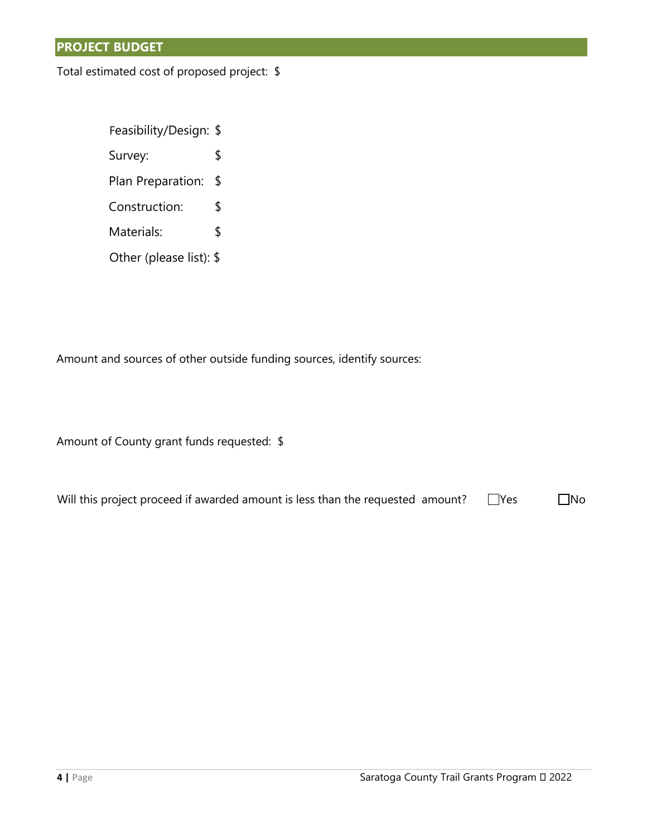### **PROJECT BUDGET**

Total estimated cost of proposed project: \$

Feasibility/Design: \$ Survey: \$ Plan Preparation: \$ Construction: \$ Materials: \$ Other (please list): \$

Amount and sources of other outside funding sources, identify sources:

Amount of County grant funds requested: \$

Will this project proceed if awarded amount is less than the requested  $\Box$  mount?  $\Box$  Yes  $\Box$  No